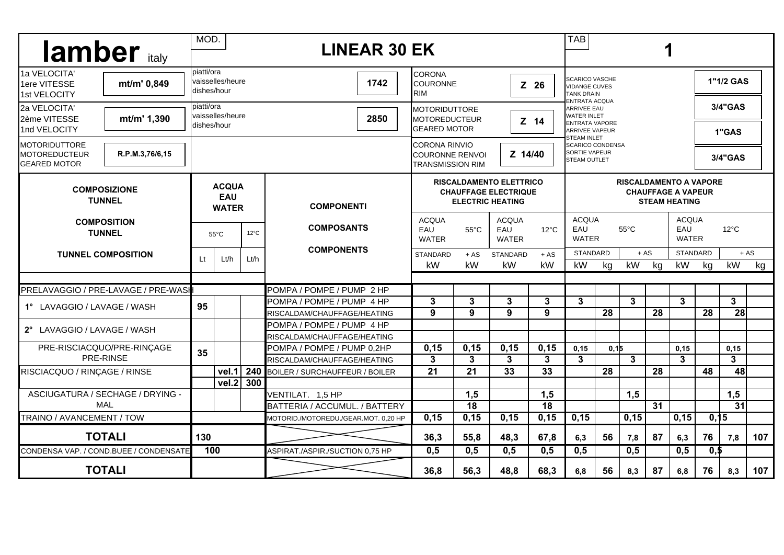| <b>lamber</b> traly                                                                     | MOD.<br><b>LINEAR 30 EK</b>                |                                 |                |                                                          |                                                                                          |                  |                                     |                  | <b>TAB</b>                                                                                                                                                                               |       |              |                 |                       |                                                |                  |              |
|-----------------------------------------------------------------------------------------|--------------------------------------------|---------------------------------|----------------|----------------------------------------------------------|------------------------------------------------------------------------------------------|------------------|-------------------------------------|------------------|------------------------------------------------------------------------------------------------------------------------------------------------------------------------------------------|-------|--------------|-----------------|-----------------------|------------------------------------------------|------------------|--------------|
| 1a VELOCITA'<br>mt/m' 0,849<br>1ere VITESSE<br>1st VELOCITY                             | piatti/ora                                 | vaisselles/heure<br>dishes/hour |                | 1742                                                     | ICORONA<br>COURONNE<br>$Z$ 26<br>IRIM                                                    |                  |                                     |                  | <b>SCARICO VASCHE</b><br><b>VIDANGE CUVES</b><br><b>TANK DRAIN</b><br><b>ENTRATA ACQUA</b><br><b>ARRIVEE EAU</b><br><b>WATER INLET</b><br><b>ENTRATA VAPORE</b><br><b>ARRIVEE VAPEUR</b> |       |              |                 |                       |                                                | 1"1/2 GAS        |              |
| 2a VELOCITA'<br>mt/m' 1,390<br>2ème VITESSE<br>1nd VELOCITY                             | piatti/ora                                 | vaisselles/heure<br>dishes/hour |                | 2850                                                     | <b>MOTORIDUTTORE</b><br><b>MOTOREDUCTEUR</b><br>Z 14<br><b>GEARED MOTOR</b>              |                  |                                     |                  |                                                                                                                                                                                          |       |              |                 |                       |                                                | 3/4"GAS<br>1"GAS |              |
| <b>IMOTORIDUTTORE</b><br>R.P.M.3,76/6,15<br><b>MOTOREDUCTEUR</b><br><b>GEARED MOTOR</b> |                                            |                                 |                |                                                          | <b>CORONA RINVIO</b><br>Z 14/40<br><b>COURONNE RENVOL</b><br><b>TRANSMISSION RIM</b>     |                  |                                     |                  | <b>STEAM INLET</b><br><b>SCARICO CONDENSA</b><br>SORTIE VAPEUR<br>3/4"GAS<br><b>STEAM OUTLET</b>                                                                                         |       |              |                 |                       |                                                |                  |              |
| <b>COMPOSIZIONE</b><br><b>TUNNEL</b>                                                    | <b>ACQUA</b><br><b>EAU</b><br><b>WATER</b> |                                 |                | <b>COMPONENTI</b>                                        | <b>RISCALDAMENTO ELETTRICO</b><br><b>CHAUFFAGE ELECTRIQUE</b><br><b>ELECTRIC HEATING</b> |                  |                                     |                  | <b>RISCALDAMENTO A VAPORE</b><br><b>CHAUFFAGE A VAPEUR</b><br><b>STEAM HEATING</b>                                                                                                       |       |              |                 |                       |                                                |                  |              |
| <b>COMPOSITION</b><br><b>TUNNEL</b><br><b>TUNNEL COMPOSITION</b>                        |                                            | $55^{\circ}$ C                  | $12^{\circ}$ C | <b>COMPOSANTS</b>                                        | <b>ACQUA</b><br>EAU<br><b>WATER</b>                                                      | $55^{\circ}$ C   | <b>ACQUA</b><br>EAU<br><b>WATER</b> | $12^{\circ}$ C   | <b>ACQUA</b><br>EAU<br>$55^{\circ}$ C<br><b>WATER</b>                                                                                                                                    |       |              |                 | EAU                   | <b>ACQUA</b><br>$12^{\circ}$ C<br><b>WATER</b> |                  |              |
|                                                                                         |                                            | $\mathbf{H}$<br>Lt/h<br>Lt/h    |                | <b>COMPONENTS</b>                                        | <b>STANDARD</b><br>kW                                                                    | $+AS$<br>kW      | STANDARD<br>kW                      | $+ AS$<br>kW     | <b>STANDARD</b><br>kW                                                                                                                                                                    | kg    | $+ AS$<br>kW | kg              | <b>STANDARD</b><br>kW | kg                                             | kW               | $+ AS$<br>kg |
|                                                                                         |                                            |                                 |                |                                                          |                                                                                          |                  |                                     |                  |                                                                                                                                                                                          |       |              |                 |                       |                                                |                  |              |
| PRELAVAGGIO / PRE-LAVAGE / PRE-WASH                                                     |                                            |                                 |                | POMPA / POMPE / PUMP 2 HP                                | 3                                                                                        | 3                | $\mathbf{3}$                        | 3                | 3                                                                                                                                                                                        |       | $\mathbf{3}$ |                 | 3                     |                                                | 3 <sup>1</sup>   |              |
| 1° LAVAGGIO / LAVAGE / WASH                                                             | 95                                         |                                 |                | POMPA / POMPE / PUMP_4 HP<br>RISCALDAM/CHAUFFAGE/HEATING | 9                                                                                        | 9                | 9                                   | 9                |                                                                                                                                                                                          | 28    |              | 28              |                       | 28                                             | 28               |              |
|                                                                                         |                                            |                                 |                | POMPA / POMPE / PUMP 4 HP                                |                                                                                          |                  |                                     |                  |                                                                                                                                                                                          |       |              |                 |                       |                                                |                  |              |
| 2° LAVAGGIO / LAVAGE / WASH                                                             |                                            |                                 |                | RISCALDAM/CHAUFFAGE/HEATING                              |                                                                                          |                  |                                     |                  |                                                                                                                                                                                          |       |              |                 |                       |                                                |                  |              |
| PRE-RISCIACQUO/PRE-RINÇAGE<br>PRE-RINSE                                                 |                                            |                                 |                | POMPA / POMPE / PUMP 0,2HP                               | 0, 15                                                                                    | 0, 15            | 0,15                                | 0,15             | 0,15                                                                                                                                                                                     | 0, 15 |              |                 | 0, 15                 |                                                | 0,15             |              |
|                                                                                         | 35                                         |                                 |                | RISCALDAM/CHAUFFAGE/HEATING                              | 3                                                                                        | 3                | 3                                   | 3                | 3                                                                                                                                                                                        |       | $\mathbf{3}$ |                 | 3                     |                                                | 3                |              |
| RISCIACQUO / RINÇAGE / RINSE                                                            |                                            | vel.1                           | 240            | <b>BOILER / SURCHAUFFEUR / BOILER</b>                    | 21                                                                                       | 21               | 33                                  | 33               |                                                                                                                                                                                          | 28    |              | 28              |                       | 48                                             | 48               |              |
|                                                                                         |                                            | vel.2                           | 300            |                                                          |                                                                                          |                  |                                     |                  |                                                                                                                                                                                          |       |              |                 |                       |                                                |                  |              |
| ASCIUGATURA / SECHAGE / DRYING -                                                        |                                            |                                 |                | VENTILAT. 1,5 HP                                         |                                                                                          | 1,5              |                                     | 1,5              |                                                                                                                                                                                          |       | 1,5          |                 |                       |                                                | 1,5              |              |
| <b>MAL</b>                                                                              |                                            |                                 |                | BATTERIA / ACCUMUL. / BATTERY                            |                                                                                          | $\overline{18}$  |                                     | $\overline{18}$  |                                                                                                                                                                                          |       |              | $\overline{31}$ |                       |                                                | $\overline{31}$  |              |
| TRAINO / AVANCEMENT / TOW                                                               |                                            |                                 |                | MOTORID./MOTOREDU./GEAR.MOT. 0,20 HP                     | 0, 15                                                                                    | 0,15             | 0, 15                               | 0,15             | 0,15                                                                                                                                                                                     |       | 0,15         |                 | 0,15                  | 0,15                                           |                  |              |
| <b>TOTALI</b>                                                                           | 130                                        |                                 |                |                                                          | 36,3                                                                                     | 55,8             | 48,3                                | 67,8             | 6,3                                                                                                                                                                                      | 56    | 7,8          | 87              | 6,3                   | 76                                             | 7,8              | 107          |
| CONDENSA VAP. / COND.BUEE / CONDENSATE                                                  | 100                                        |                                 |                | ASPIRAT./ASPIR./SUCTION 0.75 HP                          | 0,5                                                                                      | $\overline{0,5}$ | $\overline{0,5}$                    | $\overline{0,5}$ | $\overline{0,5}$                                                                                                                                                                         |       | 0,5          |                 | 0,5                   | $\overline{\mathbf{0}}$ ,5                     |                  |              |
| <b>TOTALI</b>                                                                           |                                            |                                 |                |                                                          | 36,8                                                                                     | 56,3             | 48,8                                | 68,3             | 6,8                                                                                                                                                                                      | 56    | 8,3          | 87              | 6,8                   | 76                                             | 8,3              | 107          |